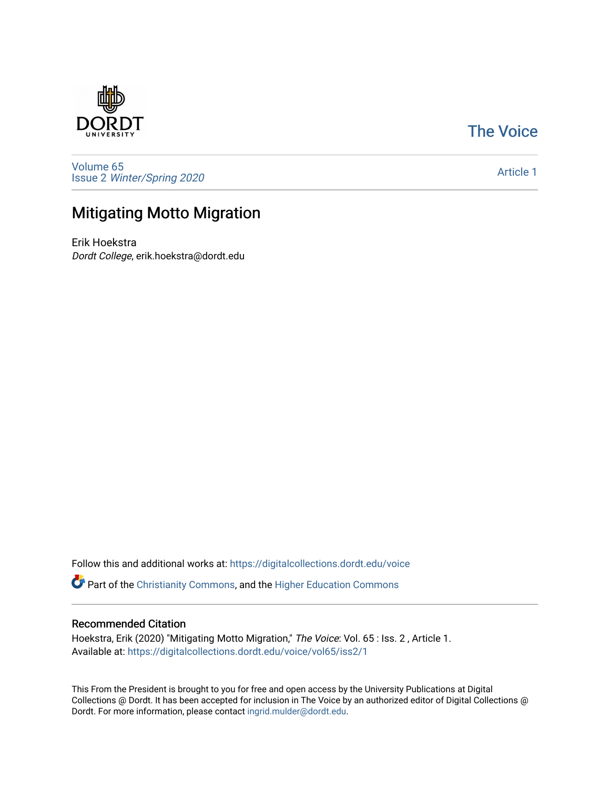

# [The Voice](https://digitalcollections.dordt.edu/voice)

[Volume 65](https://digitalcollections.dordt.edu/voice/vol65) Issue 2 [Winter/Spring 2020](https://digitalcollections.dordt.edu/voice/vol65/iss2) 

[Article 1](https://digitalcollections.dordt.edu/voice/vol65/iss2/1) 

# Mitigating Motto Migration

Erik Hoekstra Dordt College, erik.hoekstra@dordt.edu

Follow this and additional works at: [https://digitalcollections.dordt.edu/voice](https://digitalcollections.dordt.edu/voice?utm_source=digitalcollections.dordt.edu%2Fvoice%2Fvol65%2Fiss2%2F1&utm_medium=PDF&utm_campaign=PDFCoverPages) 

Part of the [Christianity Commons,](http://network.bepress.com/hgg/discipline/1181?utm_source=digitalcollections.dordt.edu%2Fvoice%2Fvol65%2Fiss2%2F1&utm_medium=PDF&utm_campaign=PDFCoverPages) and the [Higher Education Commons](http://network.bepress.com/hgg/discipline/1245?utm_source=digitalcollections.dordt.edu%2Fvoice%2Fvol65%2Fiss2%2F1&utm_medium=PDF&utm_campaign=PDFCoverPages) 

## Recommended Citation

Hoekstra, Erik (2020) "Mitigating Motto Migration," The Voice: Vol. 65 : Iss. 2, Article 1. Available at: [https://digitalcollections.dordt.edu/voice/vol65/iss2/1](https://digitalcollections.dordt.edu/voice/vol65/iss2/1?utm_source=digitalcollections.dordt.edu%2Fvoice%2Fvol65%2Fiss2%2F1&utm_medium=PDF&utm_campaign=PDFCoverPages)

This From the President is brought to you for free and open access by the University Publications at Digital Collections @ Dordt. It has been accepted for inclusion in The Voice by an authorized editor of Digital Collections @ Dordt. For more information, please contact [ingrid.mulder@dordt.edu.](mailto:ingrid.mulder@dordt.edu)